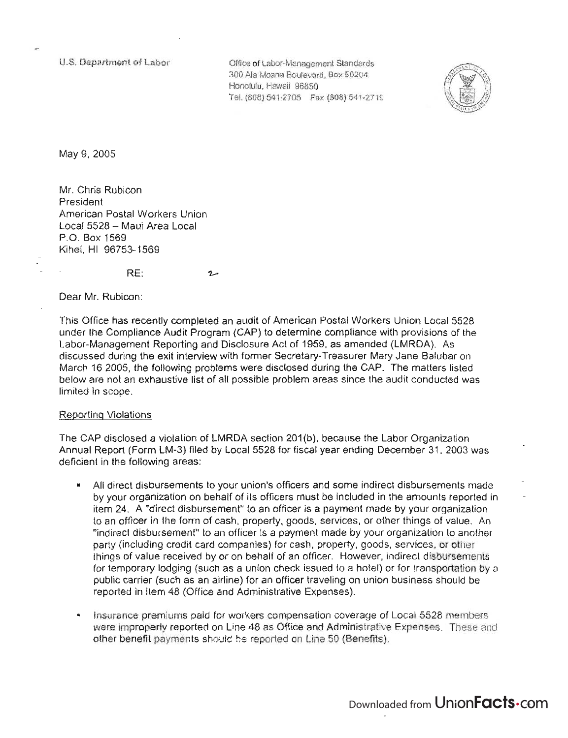U.S. Department of Labor

Office of Labor-Management Standards 300 Ala Moana Boulevard, Box 50204 Honolulu, Hawaii 96850 Tel. {80B} 541-2705 Fax (B08) 541-2719



May 9, 2005

Mr. Chris Rubicon President American Postal Workers Union Local 5528 - Maui Area Local P.O. Box 1569 Kihei, HI 96753-1569

RE:

Dear Mr. Rubicon:

This Office has recently completed an audit of American Postal Workers Union Local 5528 under the Compliance Audit Program (CAP) to determine compliance with provisions of the Labor-Management Reporting and Disclosure Act of 1959, as amended (LMRDA). As discussed during the exit interview with former Secretary-Treasurer Mary Jane Balubar on March 162005, the following problems were disclosed during the CAP. The matters listed below are not an exhaustive list of all possible problem areas since the audit conducted was limited in scope.

## Reporting Violations

The CAP disclosed a violation of LMRDA section 201(b), because the Labor Organization Annual Report (Form LM-3) filed by Local 5528 for fiscal year ending December 31, 2003 was deficient in the following areas:

- All direct disbursements to your union's officers and some indirect disbursements made by your organization on behalf of its officers must be included in the amounts reported in item 24. A "direct disbursement" to an officer is a payment made by your organization to an officer in the form of cash. property, goods. services, or other things of value. An "indirect disbursement" to an officer is a payment made by your organization to another party (including credit card companies) for cash. property, goods, services, or other things of value received by or on behalf of an officer. However, indirect disbursements for temporary lodging (such as a union check issued to a hotel) or for transportation by a public carrier (such as an airline) for an officer traveling on union business should be reported in item 48 (Office and Administrative Expenses).
- Insurance premiums paid for workers compensation coverage of Local 5528 members were improperly reported on Une 48 as Office and Administrative Expenses. These and other benefit payments should be reported on Une 50 (Benefits).

Downloaded from UnionFacts.com